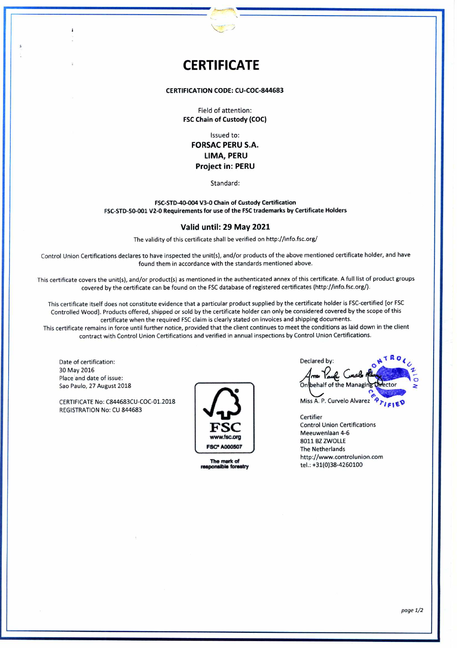# **CERTIFICATE**

## **CERTIFICATION CODE: CU-COC-844683**

Field of attention: **FSC Chain of Custody (COC)** 

Issued to: **FORSAC PERU S.A. LIMA, PERU Project in: PERU** 

Standard:

#### **FSC-STD-40-004 V3-0 Chain of Custody Certification FSC-STD-50-001 V2-0 Requirements for use of the FSC trademarks by Certificate Holders**

### **Valid until: 29 May 2021**

The validity of this certificate shall be verified on http://info.fsc.org/

Control Union Certifications declares to have inspected the unit(s), and/or products of the aboye mentioned certificate holder, and have found them in accordance with the standards mentioned aboye.

This certificate covers the unit(s), and/or product(s) as mentioned in the authenticated annex of this certificate. A full list of product groups covered by the certificate can be found on the FSC database of registered certificates (http://info.fsc.org/).

This certificate itself does not constitute evidence that a particular product supplied by the certificate holder is FSC-certified [or FSC Controlled Woodj. Products offered, shipped or sold by the certificate holder can only be considered covered by the scope of this certificate when the required FSC claim is clearly stated on invoices and shipping documents.

This certificate remains in force until further notice, provided that the client continues to meet the conditions as laid down in the client contract with Control Union Certifications and verified in annual ínspections by Control Union Certifications.

Date of certification: 30 May 2016 Place and date of issue: Sao Paulo, 27 August 2018

CERTIFICATE No: C844683CU-COC-01.2018 REGISTRATION No: CU 844683



**The mark of<br>responsible forestry** 

| Declared by:                                                |  |
|-------------------------------------------------------------|--|
|                                                             |  |
| Arm Your Cuele Aliver<br>On behalf of the Managing Orlector |  |
| Miss A. P. Curvelo Alvarez                                  |  |

Certifier Control Union Certifications Meeuwenlaan 4-6 8011 BZ ZWOLLE The Netherlands http://www.controlunion.com tel.: +31(0)38-4260100